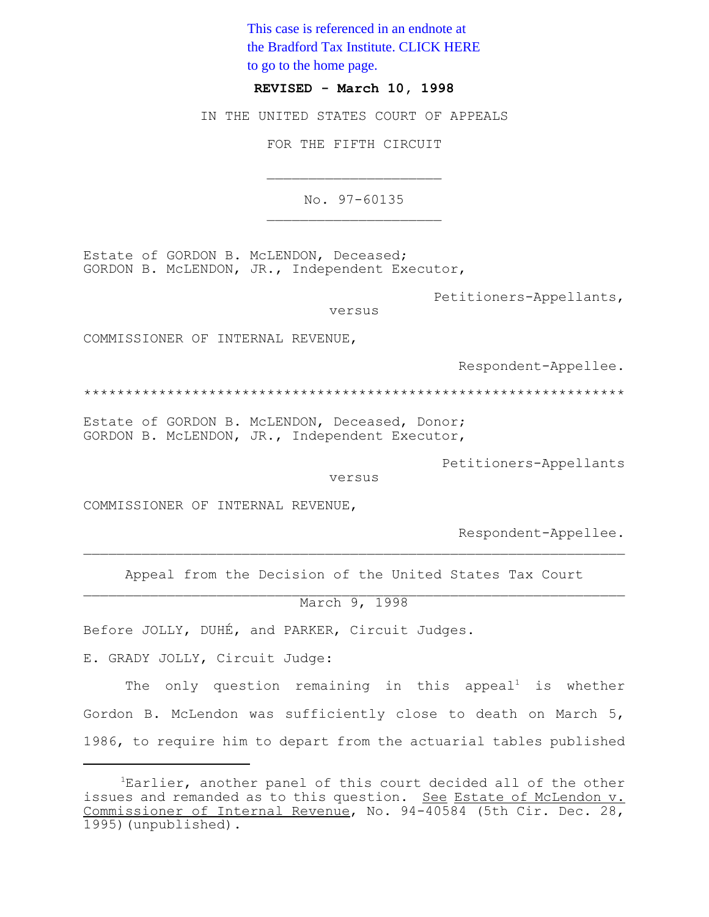This case is referenced in an endnote at [the Bradford Tax Institute. CLICK HERE](http://www.bradfordtaxinstitute.com/)  to go to the home page.

## **REVISED - March 10, 1998**

IN THE UNITED STATES COURT OF APPEALS

FOR THE FIFTH CIRCUIT

No. 97-60135

Estate of GORDON B. McLENDON, Deceased; GORDON B. McLENDON, JR., Independent Executor,

Petitioners-Appellants,

## versus

COMMISSIONER OF INTERNAL REVENUE,

Respondent-Appellee.

\*\*\*\*\*\*\*\*\*\*\*\*\*\*\*\*\*\*\*\*\*\*\*\*\*\*\*\*\*\*\*\*\*\*\*\*\*\*\*\*\*\*\*\*\*\*\*\*\*\*\*\*\*\*\*\*\*\*\*\*\*\*\*\*\*

Estate of GORDON B. McLENDON, Deceased, Donor; GORDON B. McLENDON, JR., Independent Executor,

Petitioners-Appellants

versus

COMMISSIONER OF INTERNAL REVENUE,

Respondent-Appellee.

Appeal from the Decision of the United States Tax Court<br>
March 9, 1998

Before JOLLY, DUHÉ, and PARKER, Circuit Judges.

E. GRADY JOLLY, Circuit Judge:

The only question remaining in this appeal<sup>1</sup> is whether Gordon B. McLendon was sufficiently close to death on March 5, 1986, to require him to depart from the actuarial tables published

<sup>&</sup>lt;sup>1</sup>Earlier, another panel of this court decided all of the other issues and remanded as to this question. See Estate of McLendon v. Commissioner of Internal Revenue, No. 94-40584 (5th Cir. Dec. 28, 1995)(unpublished).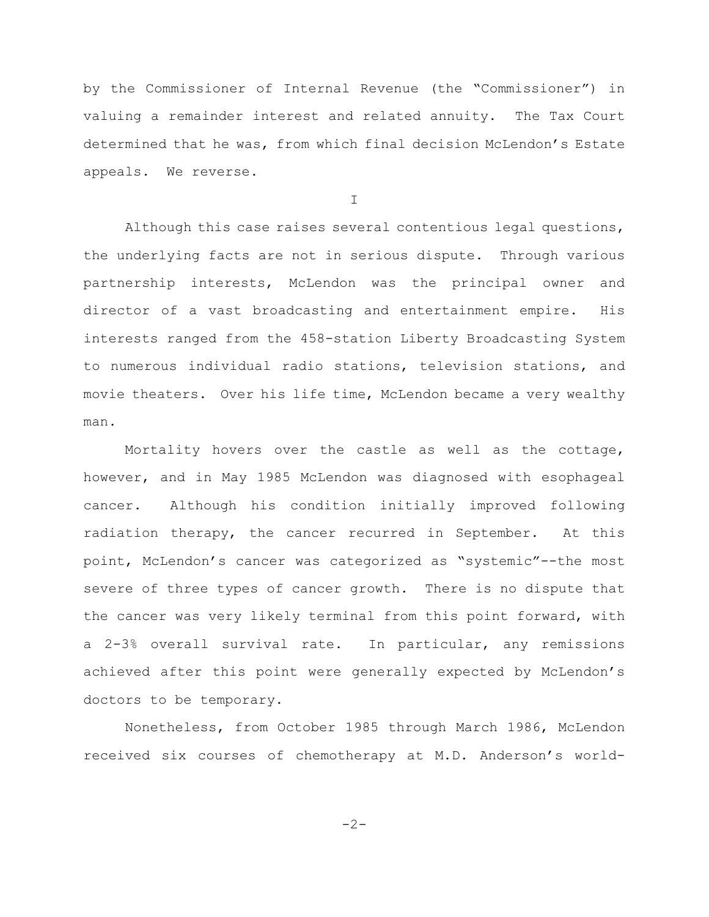by the Commissioner of Internal Revenue (the "Commissioner") in valuing a remainder interest and related annuity. The Tax Court determined that he was, from which final decision McLendon's Estate appeals. We reverse.

I

Although this case raises several contentious legal questions, the underlying facts are not in serious dispute. Through various partnership interests, McLendon was the principal owner and director of a vast broadcasting and entertainment empire. His interests ranged from the 458-station Liberty Broadcasting System to numerous individual radio stations, television stations, and movie theaters. Over his life time, McLendon became a very wealthy man.

Mortality hovers over the castle as well as the cottage, however, and in May 1985 McLendon was diagnosed with esophageal cancer. Although his condition initially improved following radiation therapy, the cancer recurred in September. At this point, McLendon's cancer was categorized as "systemic"--the most severe of three types of cancer growth. There is no dispute that the cancer was very likely terminal from this point forward, with a 2-3% overall survival rate. In particular, any remissions achieved after this point were generally expected by McLendon's doctors to be temporary.

Nonetheless, from October 1985 through March 1986, McLendon received six courses of chemotherapy at M.D. Anderson's world-

 $-2-$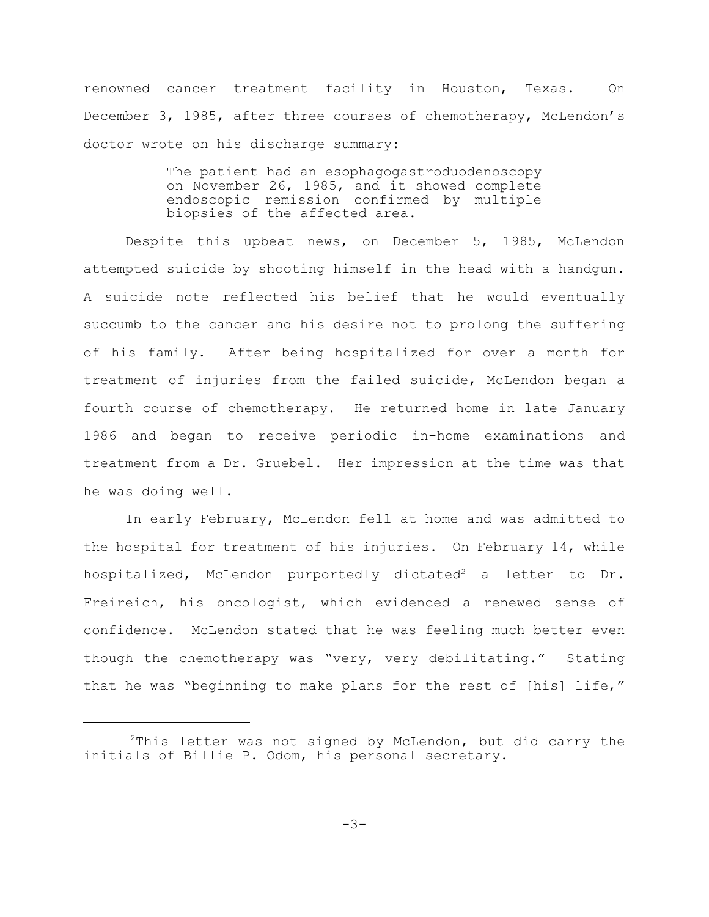renowned cancer treatment facility in Houston, Texas. On December 3, 1985, after three courses of chemotherapy, McLendon's doctor wrote on his discharge summary:

> The patient had an esophagogastroduodenoscopy on November 26, 1985, and it showed complete endoscopic remission confirmed by multiple biopsies of the affected area.

Despite this upbeat news, on December 5, 1985, McLendon attempted suicide by shooting himself in the head with a handgun. A suicide note reflected his belief that he would eventually succumb to the cancer and his desire not to prolong the suffering of his family. After being hospitalized for over a month for treatment of injuries from the failed suicide, McLendon began a fourth course of chemotherapy. He returned home in late January 1986 and began to receive periodic in-home examinations and treatment from a Dr. Gruebel. Her impression at the time was that he was doing well.

In early February, McLendon fell at home and was admitted to the hospital for treatment of his injuries. On February 14, while hospitalized, McLendon purportedly dictated<sup>2</sup> a letter to  $Dr.$ Freireich, his oncologist, which evidenced a renewed sense of confidence. McLendon stated that he was feeling much better even though the chemotherapy was "very, very debilitating." Stating that he was "beginning to make plans for the rest of [his] life,"

<sup>&</sup>lt;sup>2</sup>This letter was not signed by McLendon, but did carry the initials of Billie P. Odom, his personal secretary.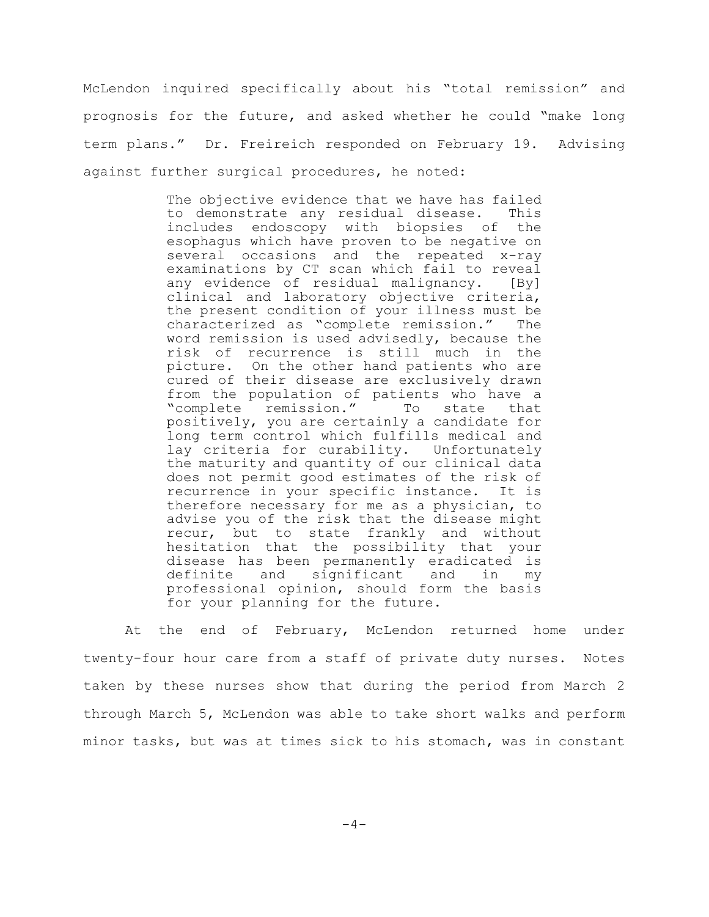McLendon inquired specifically about his "total remission" and prognosis for the future, and asked whether he could "make long term plans." Dr. Freireich responded on February 19. Advising against further surgical procedures, he noted:

> The objective evidence that we have has failed to demonstrate any residual disease. This includes endoscopy with biopsies of the esophagus which have proven to be negative on several occasions and the repeated x-ray examinations by CT scan which fail to reveal any evidence of residual malignancy. [By] clinical and laboratory objective criteria, the present condition of your illness must be characterized as "complete remission." The word remission is used advisedly, because the risk of recurrence is still much in the picture. On the other hand patients who are cured of their disease are exclusively drawn from the population of patients who have a "complete remission." To state that positively, you are certainly a candidate for long term control which fulfills medical and lay criteria for curability. Unfortunately the maturity and quantity of our clinical data does not permit good estimates of the risk of recurrence in your specific instance. It is therefore necessary for me as a physician, to advise you of the risk that the disease might recur, but to state frankly and without hesitation that the possibility that your disease has been permanently eradicated is definite and significant and in my professional opinion, should form the basis for your planning for the future.

At the end of February, McLendon returned home under twenty-four hour care from a staff of private duty nurses. Notes taken by these nurses show that during the period from March 2 through March 5, McLendon was able to take short walks and perform minor tasks, but was at times sick to his stomach, was in constant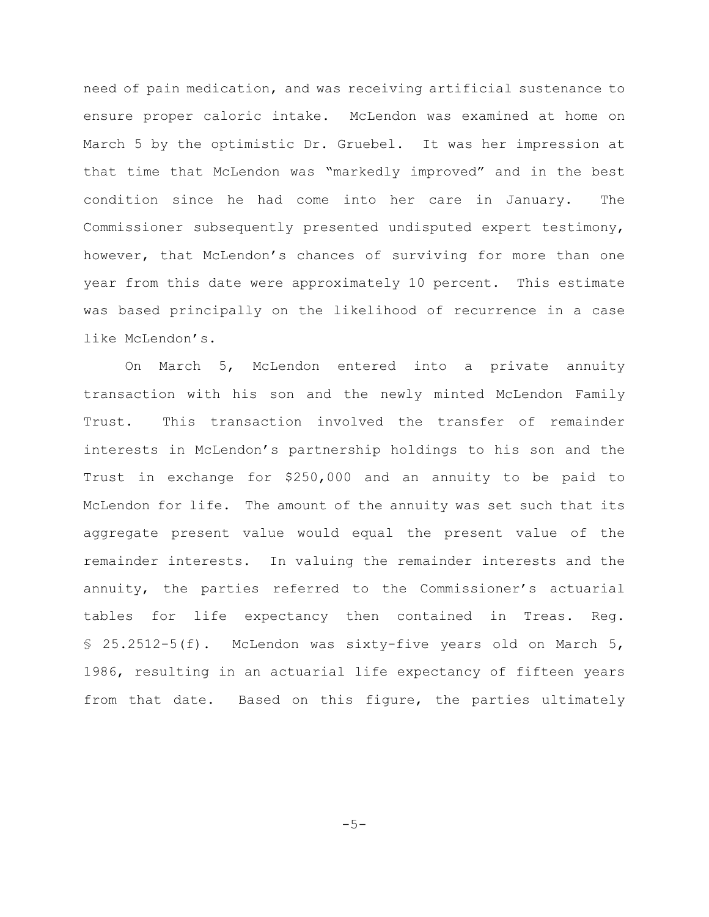need of pain medication, and was receiving artificial sustenance to ensure proper caloric intake. McLendon was examined at home on March 5 by the optimistic Dr. Gruebel. It was her impression at that time that McLendon was "markedly improved" and in the best condition since he had come into her care in January. The Commissioner subsequently presented undisputed expert testimony, however, that McLendon's chances of surviving for more than one year from this date were approximately 10 percent. This estimate was based principally on the likelihood of recurrence in a case like McLendon's.

On March 5, McLendon entered into a private annuity transaction with his son and the newly minted McLendon Family Trust. This transaction involved the transfer of remainder interests in McLendon's partnership holdings to his son and the Trust in exchange for \$250,000 and an annuity to be paid to McLendon for life. The amount of the annuity was set such that its aggregate present value would equal the present value of the remainder interests. In valuing the remainder interests and the annuity, the parties referred to the Commissioner's actuarial tables for life expectancy then contained in Treas. Reg.  $$25.2512-5(f).$  McLendon was sixty-five years old on March 5, 1986, resulting in an actuarial life expectancy of fifteen years from that date. Based on this figure, the parties ultimately

 $-5-$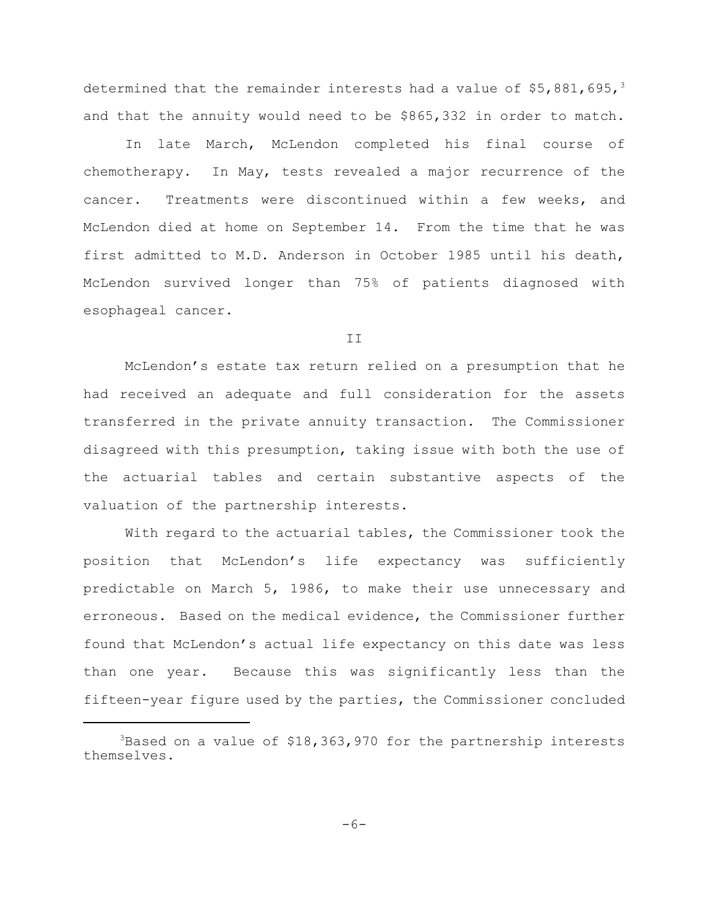determined that the remainder interests had a value of  $$5,881,695,3$ and that the annuity would need to be \$865,332 in order to match.

In late March, McLendon completed his final course of chemotherapy. In May, tests revealed a major recurrence of the cancer. Treatments were discontinued within a few weeks, and McLendon died at home on September 14. From the time that he was first admitted to M.D. Anderson in October 1985 until his death, McLendon survived longer than 75% of patients diagnosed with esophageal cancer.

II

McLendon's estate tax return relied on a presumption that he had received an adequate and full consideration for the assets transferred in the private annuity transaction. The Commissioner disagreed with this presumption, taking issue with both the use of the actuarial tables and certain substantive aspects of the valuation of the partnership interests.

With regard to the actuarial tables, the Commissioner took the position that McLendon's life expectancy was sufficiently predictable on March 5, 1986, to make their use unnecessary and erroneous. Based on the medical evidence, the Commissioner further found that McLendon's actual life expectancy on this date was less than one year. Because this was significantly less than the fifteen-year figure used by the parties, the Commissioner concluded

 $3B$ ased on a value of \$18,363,970 for the partnership interests themselves.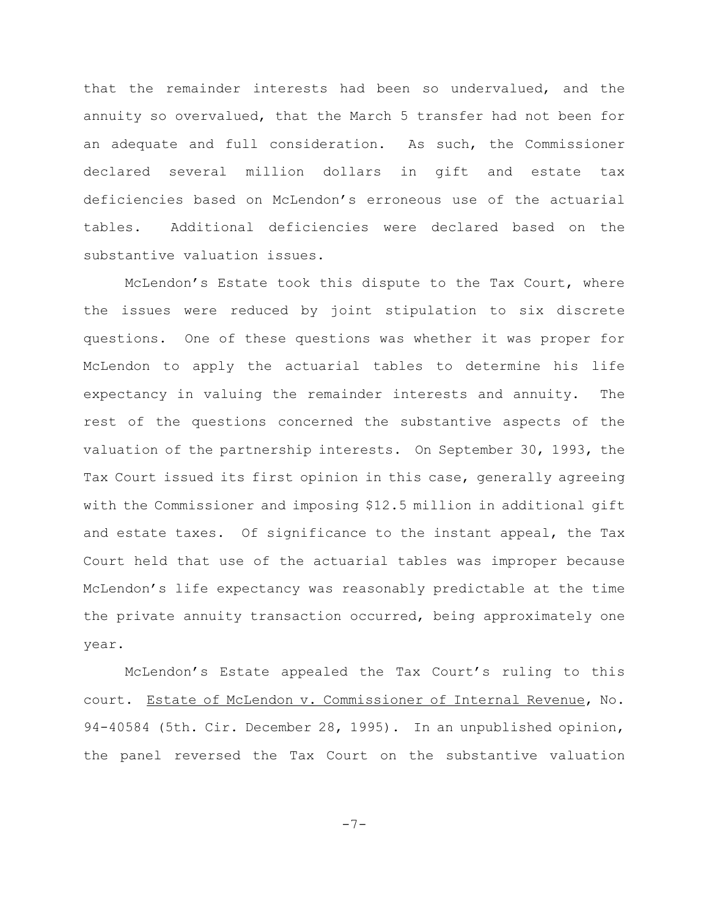that the remainder interests had been so undervalued, and the annuity so overvalued, that the March 5 transfer had not been for an adequate and full consideration. As such, the Commissioner declared several million dollars in gift and estate tax deficiencies based on McLendon's erroneous use of the actuarial tables. Additional deficiencies were declared based on the substantive valuation issues.

McLendon's Estate took this dispute to the Tax Court, where the issues were reduced by joint stipulation to six discrete questions. One of these questions was whether it was proper for McLendon to apply the actuarial tables to determine his life expectancy in valuing the remainder interests and annuity. The rest of the questions concerned the substantive aspects of the valuation of the partnership interests. On September 30, 1993, the Tax Court issued its first opinion in this case, generally agreeing with the Commissioner and imposing \$12.5 million in additional gift and estate taxes. Of significance to the instant appeal, the Tax Court held that use of the actuarial tables was improper because McLendon's life expectancy was reasonably predictable at the time the private annuity transaction occurred, being approximately one year.

McLendon's Estate appealed the Tax Court's ruling to this court. Estate of McLendon v. Commissioner of Internal Revenue, No. 94-40584 (5th. Cir. December 28, 1995). In an unpublished opinion, the panel reversed the Tax Court on the substantive valuation

$$
-7 \\ -
$$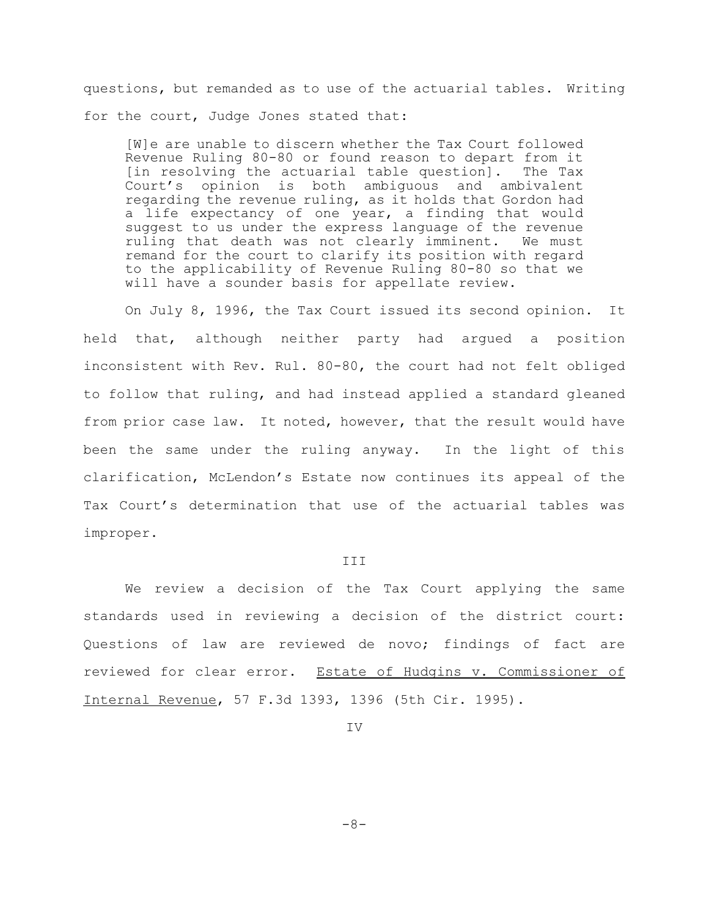questions, but remanded as to use of the actuarial tables. Writing for the court, Judge Jones stated that:

[W]e are unable to discern whether the Tax Court followed Revenue Ruling 80-80 or found reason to depart from it [in resolving the actuarial table question]. The Tax Court's opinion is both ambiguous and ambivalent regarding the revenue ruling, as it holds that Gordon had a life expectancy of one year, a finding that would suggest to us under the express language of the revenue ruling that death was not clearly imminent. We must remand for the court to clarify its position with regard to the applicability of Revenue Ruling 80-80 so that we will have a sounder basis for appellate review.

On July 8, 1996, the Tax Court issued its second opinion. It held that, although neither party had argued a position inconsistent with Rev. Rul. 80-80, the court had not felt obliged to follow that ruling, and had instead applied a standard gleaned from prior case law. It noted, however, that the result would have been the same under the ruling anyway. In the light of this clarification, McLendon's Estate now continues its appeal of the Tax Court's determination that use of the actuarial tables was improper.

## III

We review a decision of the Tax Court applying the same standards used in reviewing a decision of the district court: Questions of law are reviewed de novo; findings of fact are reviewed for clear error. Estate of Hudgins v. Commissioner of Internal Revenue, 57 F.3d 1393, 1396 (5th Cir. 1995).

IV

 $-8-$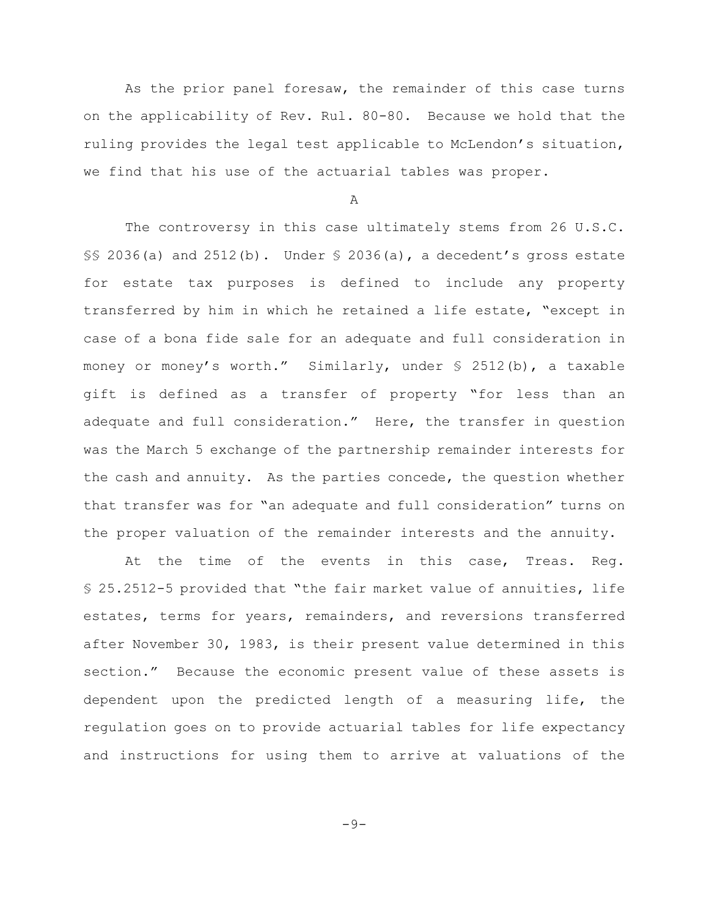As the prior panel foresaw, the remainder of this case turns on the applicability of Rev. Rul. 80-80. Because we hold that the ruling provides the legal test applicable to McLendon's situation, we find that his use of the actuarial tables was proper.

A

The controversy in this case ultimately stems from 26 U.S.C. §§ 2036(a) and 2512(b). Under § 2036(a), a decedent's gross estate for estate tax purposes is defined to include any property transferred by him in which he retained a life estate, "except in case of a bona fide sale for an adequate and full consideration in money or money's worth." Similarly, under § 2512(b), a taxable gift is defined as a transfer of property "for less than an adequate and full consideration." Here, the transfer in question was the March 5 exchange of the partnership remainder interests for the cash and annuity. As the parties concede, the question whether that transfer was for "an adequate and full consideration" turns on the proper valuation of the remainder interests and the annuity.

At the time of the events in this case, Treas. Reg. § 25.2512-5 provided that "the fair market value of annuities, life estates, terms for years, remainders, and reversions transferred after November 30, 1983, is their present value determined in this section." Because the economic present value of these assets is dependent upon the predicted length of a measuring life, the regulation goes on to provide actuarial tables for life expectancy and instructions for using them to arrive at valuations of the

 $-9-$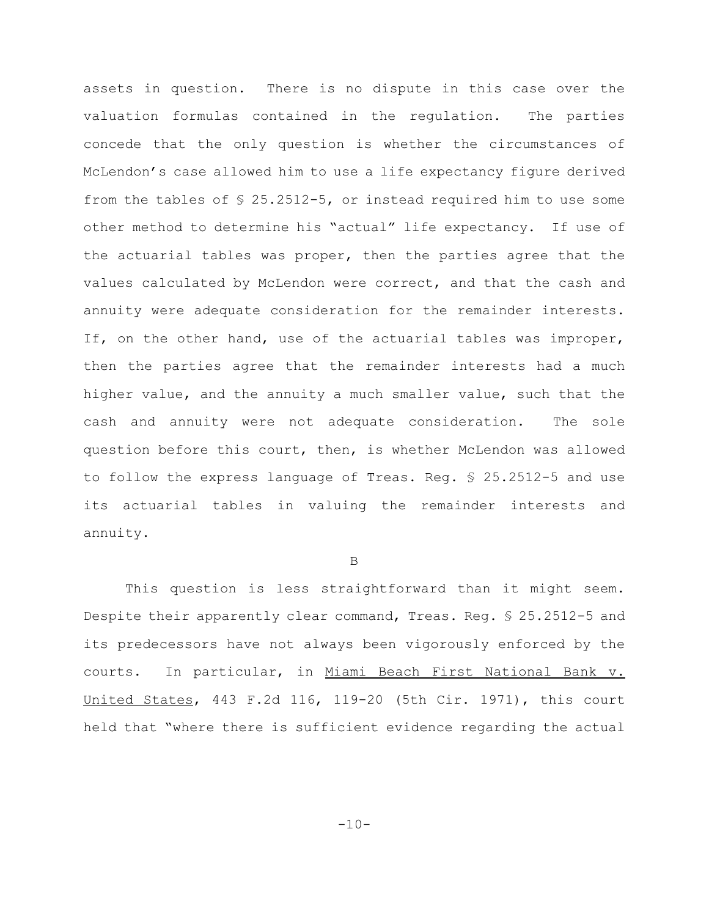assets in question. There is no dispute in this case over the valuation formulas contained in the regulation. The parties concede that the only question is whether the circumstances of McLendon's case allowed him to use a life expectancy figure derived from the tables of § 25.2512-5, or instead required him to use some other method to determine his "actual" life expectancy. If use of the actuarial tables was proper, then the parties agree that the values calculated by McLendon were correct, and that the cash and annuity were adequate consideration for the remainder interests. If, on the other hand, use of the actuarial tables was improper, then the parties agree that the remainder interests had a much higher value, and the annuity a much smaller value, such that the cash and annuity were not adequate consideration. The sole question before this court, then, is whether McLendon was allowed to follow the express language of Treas. Reg. § 25.2512-5 and use its actuarial tables in valuing the remainder interests and annuity.

B

This question is less straightforward than it might seem. Despite their apparently clear command, Treas. Reg. § 25.2512-5 and its predecessors have not always been vigorously enforced by the courts. In particular, in Miami Beach First National Bank v. United States, 443 F.2d 116, 119-20 (5th Cir. 1971), this court held that "where there is sufficient evidence regarding the actual

 $-10-$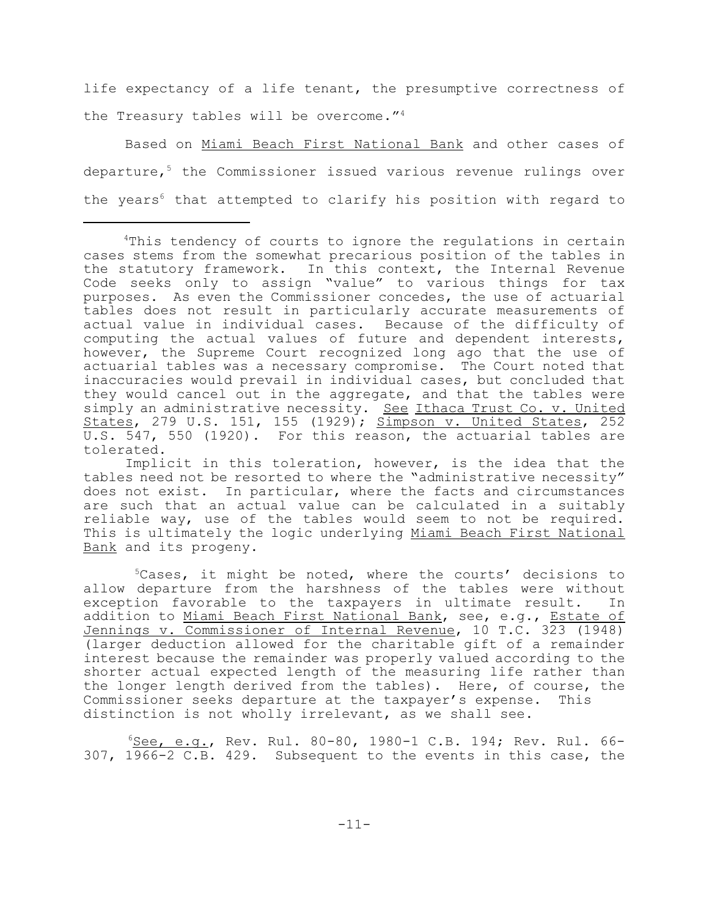life expectancy of a life tenant, the presumptive correctness of the Treasury tables will be overcome."<sup>4</sup>

Based on Miami Beach First National Bank and other cases of departure,<sup>5</sup> the Commissioner issued various revenue rulings over the years<sup>6</sup> that attempted to clarify his position with regard to

Implicit in this toleration, however, is the idea that the tables need not be resorted to where the "administrative necessity" does not exist. In particular, where the facts and circumstances are such that an actual value can be calculated in a suitably reliable way, use of the tables would seem to not be required. This is ultimately the logic underlying Miami Beach First National Bank and its progeny.

 $5$ Cases, it might be noted, where the courts' decisions to allow departure from the harshness of the tables were without exception favorable to the taxpayers in ultimate result. In addition to Miami Beach First National Bank, see, e.g., Estate of Jennings v. Commissioner of Internal Revenue, 10 T.C. 323 (1948) (larger deduction allowed for the charitable gift of a remainder interest because the remainder was properly valued according to the shorter actual expected length of the measuring life rather than the longer length derived from the tables). Here, of course, the Commissioner seeks departure at the taxpayer's expense. This distinction is not wholly irrelevant, as we shall see.

 $6$ See, e.g., Rev. Rul. 80-80, 1980-1 C.B. 194; Rev. Rul. 66-307, 1966-2 C.B. 429. Subsequent to the events in this case, the

<sup>4</sup>This tendency of courts to ignore the regulations in certain cases stems from the somewhat precarious position of the tables in the statutory framework. In this context, the Internal Revenue Code seeks only to assign "value" to various things for tax purposes. As even the Commissioner concedes, the use of actuarial tables does not result in particularly accurate measurements of actual value in individual cases. Because of the difficulty of computing the actual values of future and dependent interests, however, the Supreme Court recognized long ago that the use of actuarial tables was a necessary compromise. The Court noted that inaccuracies would prevail in individual cases, but concluded that they would cancel out in the aggregate, and that the tables were simply an administrative necessity. See Ithaca Trust Co. v. United States, 279 U.S. 151, 155 (1929); Simpson v. United States, 252 U.S. 547, 550 (1920). For this reason, the actuarial tables are tolerated.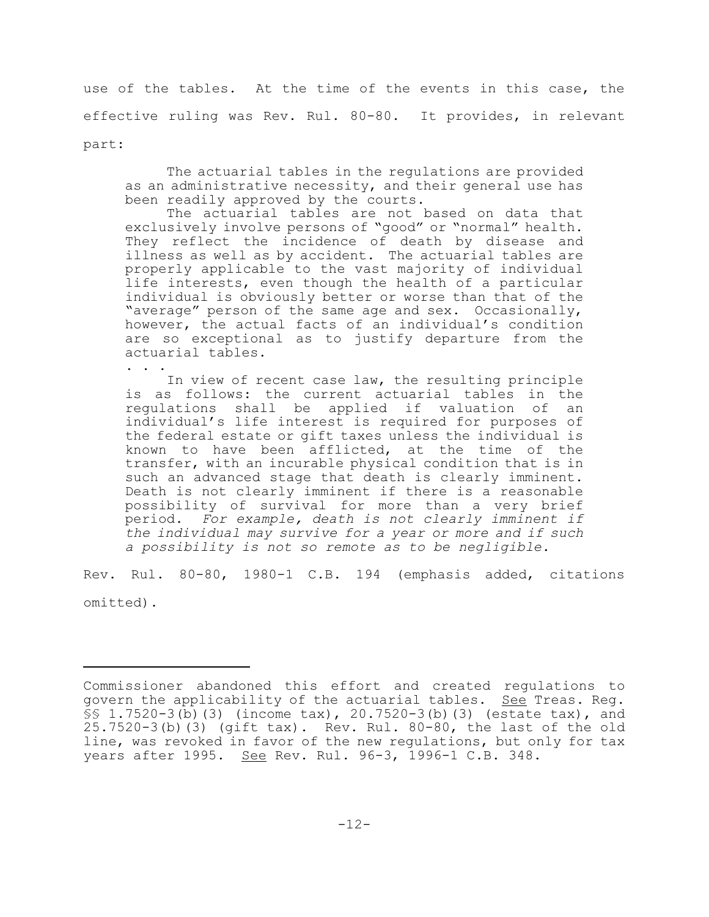use of the tables. At the time of the events in this case, the effective ruling was Rev. Rul. 80-80. It provides, in relevant part:

The actuarial tables in the regulations are provided as an administrative necessity, and their general use has been readily approved by the courts.

The actuarial tables are not based on data that exclusively involve persons of "good" or "normal" health. They reflect the incidence of death by disease and illness as well as by accident. The actuarial tables are properly applicable to the vast majority of individual life interests, even though the health of a particular individual is obviously better or worse than that of the "average" person of the same age and sex. Occasionally, however, the actual facts of an individual's condition are so exceptional as to justify departure from the actuarial tables.

. . . In view of recent case law, the resulting principle is as follows: the current actuarial tables in the regulations shall be applied if valuation of an individual's life interest is required for purposes of the federal estate or gift taxes unless the individual is known to have been afflicted, at the time of the transfer, with an incurable physical condition that is in such an advanced stage that death is clearly imminent. Death is not clearly imminent if there is a reasonable possibility of survival for more than a very brief period. *For example, death is not clearly imminent if the individual may survive for a year or more and if such a possibility is not so remote as to be negligible.*

Rev. Rul. 80-80, 1980-1 C.B. 194 (emphasis added, citations omitted).

Commissioner abandoned this effort and created regulations to govern the applicability of the actuarial tables. See Treas. Reg. §§ 1.7520-3(b)(3) (income tax), 20.7520-3(b)(3) (estate tax), and 25.7520-3(b)(3) (gift tax). Rev. Rul. 80-80, the last of the old line, was revoked in favor of the new regulations, but only for tax years after 1995. See Rev. Rul. 96-3, 1996-1 C.B. 348.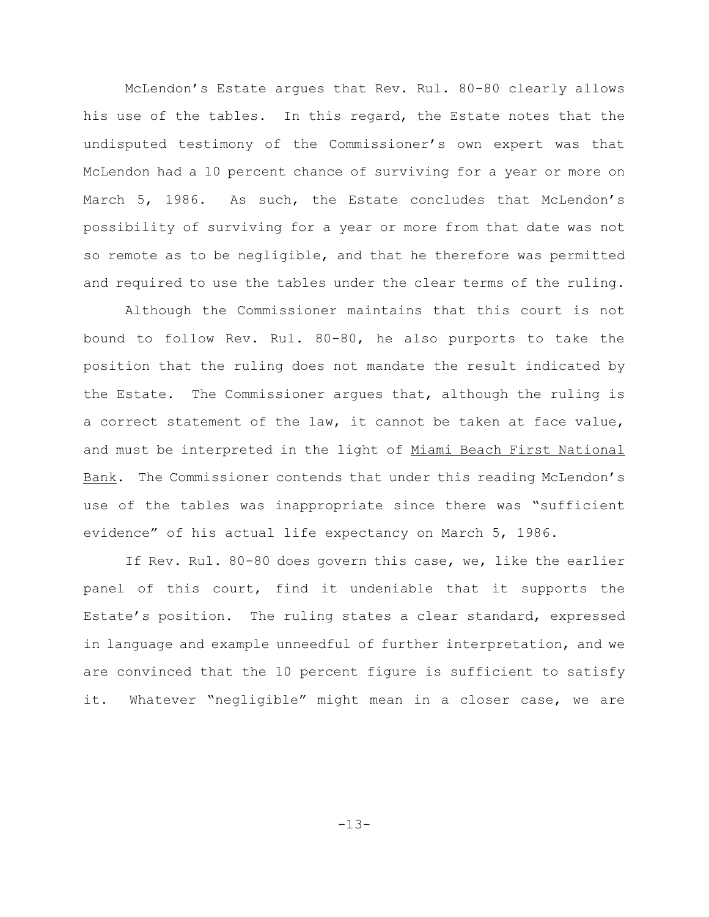McLendon's Estate argues that Rev. Rul. 80-80 clearly allows his use of the tables. In this regard, the Estate notes that the undisputed testimony of the Commissioner's own expert was that McLendon had a 10 percent chance of surviving for a year or more on March 5, 1986. As such, the Estate concludes that McLendon's possibility of surviving for a year or more from that date was not so remote as to be negligible, and that he therefore was permitted and required to use the tables under the clear terms of the ruling.

Although the Commissioner maintains that this court is not bound to follow Rev. Rul. 80-80, he also purports to take the position that the ruling does not mandate the result indicated by the Estate. The Commissioner argues that, although the ruling is a correct statement of the law, it cannot be taken at face value, and must be interpreted in the light of Miami Beach First National Bank. The Commissioner contends that under this reading McLendon's use of the tables was inappropriate since there was "sufficient evidence" of his actual life expectancy on March 5, 1986.

If Rev. Rul. 80-80 does govern this case, we, like the earlier panel of this court, find it undeniable that it supports the Estate's position. The ruling states a clear standard, expressed in language and example unneedful of further interpretation, and we are convinced that the 10 percent figure is sufficient to satisfy it. Whatever "negligible" might mean in a closer case, we are

-13-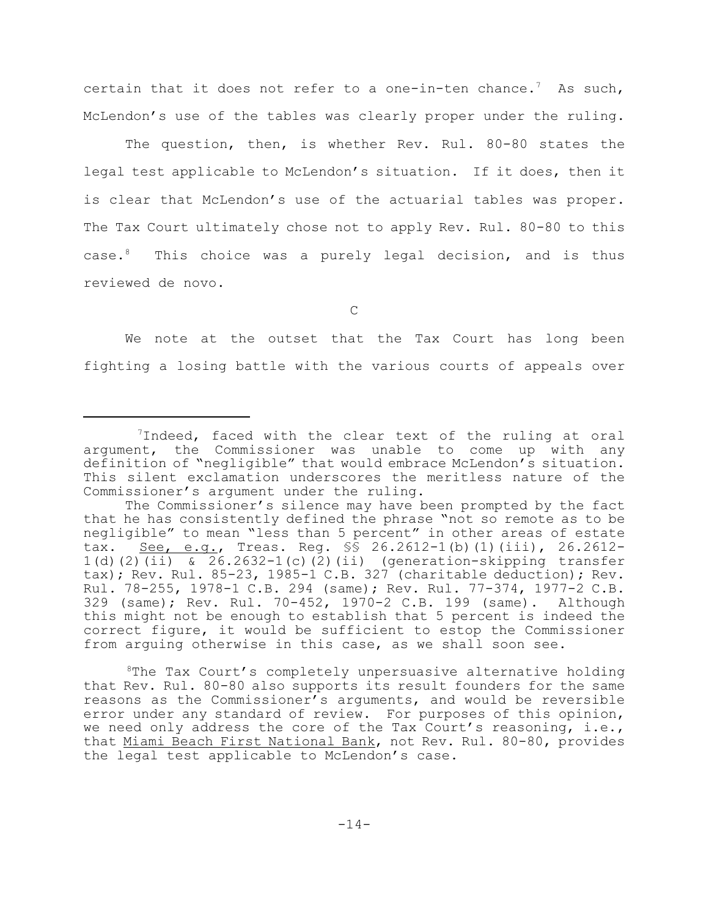certain that it does not refer to a one-in-ten chance.<sup>7</sup> As such, McLendon's use of the tables was clearly proper under the ruling.

The question, then, is whether Rev. Rul. 80-80 states the legal test applicable to McLendon's situation. If it does, then it is clear that McLendon's use of the actuarial tables was proper. The Tax Court ultimately chose not to apply Rev. Rul. 80-80 to this case.8 This choice was a purely legal decision, and is thus reviewed de novo.

C

We note at the outset that the Tax Court has long been fighting a losing battle with the various courts of appeals over

8The Tax Court's completely unpersuasive alternative holding that Rev. Rul. 80-80 also supports its result founders for the same reasons as the Commissioner's arguments, and would be reversible error under any standard of review. For purposes of this opinion, we need only address the core of the Tax Court's reasoning, i.e., that Miami Beach First National Bank, not Rev. Rul. 80-80, provides the legal test applicable to McLendon's case.

<sup>7</sup>Indeed, faced with the clear text of the ruling at oral argument, the Commissioner was unable to come up with any definition of "negligible" that would embrace McLendon's situation. This silent exclamation underscores the meritless nature of the Commissioner's argument under the ruling.

The Commissioner's silence may have been prompted by the fact that he has consistently defined the phrase "not so remote as to be negligible" to mean "less than 5 percent" in other areas of estate tax. See, e.g., Treas. Reg. SS 26.2612-1(b)(1)(iii), 26.2612-1(d)(2)(ii) & 26.2632-1(c)(2)(ii) (generation-skipping transfer tax); Rev. Rul. 85-23, 1985-1 C.B. 327 (charitable deduction); Rev. Rul. 78-255, 1978-1 C.B. 294 (same); Rev. Rul. 77-374, 1977-2 C.B. 329 (same); Rev. Rul. 70-452, 1970-2 C.B. 199 (same). Although this might not be enough to establish that 5 percent is indeed the correct figure, it would be sufficient to estop the Commissioner from arguing otherwise in this case, as we shall soon see.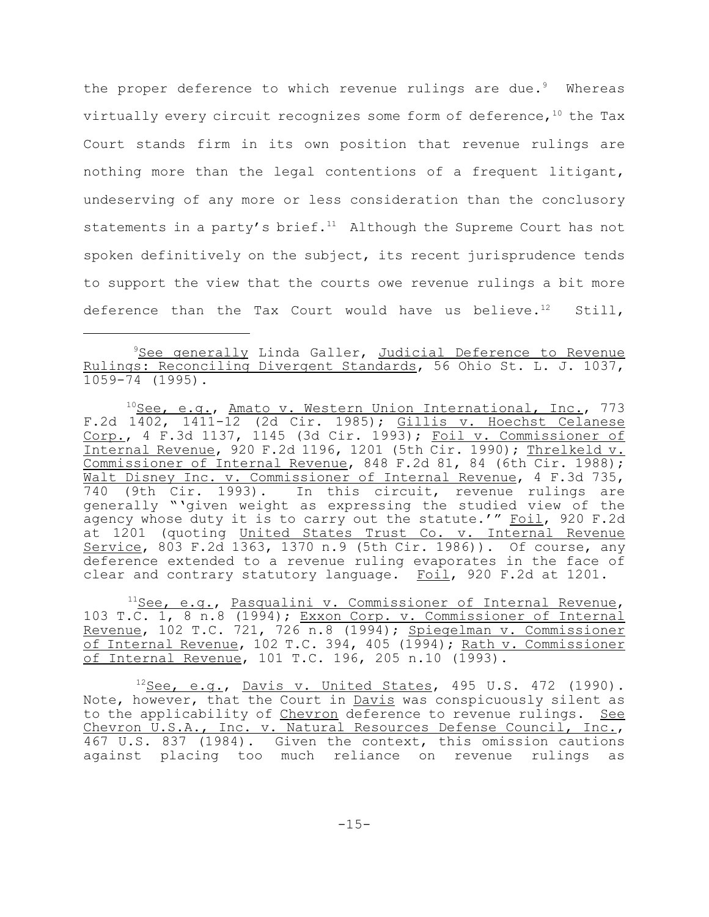the proper deference to which revenue rulings are due.<sup>9</sup> Whereas virtually every circuit recognizes some form of deference,  $10$  the Tax Court stands firm in its own position that revenue rulings are nothing more than the legal contentions of a frequent litigant, undeserving of any more or less consideration than the conclusory statements in a party's brief. $11$  Although the Supreme Court has not spoken definitively on the subject, its recent jurisprudence tends to support the view that the courts owe revenue rulings a bit more deference than the Tax Court would have us believe.<sup>12</sup> Still,

<sup>9</sup>See generally Linda Galler, Judicial Deference to Revenue Rulings: Reconciling Divergent Standards, 56 Ohio St. L. J. 1037, 1059-74 (1995).

 $10$ See, e.g., Amato v. Western Union International, Inc., 773 F.2d 1402, 1411-12 (2d Cir. 1985); Gillis v. Hoechst Celanese Corp., 4 F.3d 1137, 1145 (3d Cir. 1993); Foil v. Commissioner of Internal Revenue, 920 F.2d 1196, 1201 (5th Cir. 1990); Threlkeld v. Commissioner of Internal Revenue, 848 F.2d 81, 84 (6th Cir. 1988); Walt Disney Inc. v. Commissioner of Internal Revenue, 4 F.3d 735, 740 (9th Cir. 1993). In this circuit, revenue rulings are generally "'given weight as expressing the studied view of the agency whose duty it is to carry out the statute.'" Foil, 920 F.2d at 1201 (quoting United States Trust Co. v. Internal Revenue Service, 803 F.2d 1363, 1370 n.9 (5th Cir. 1986)). Of course, any deference extended to a revenue ruling evaporates in the face of clear and contrary statutory language.  $Foli, 920 F.2d$  at 1201.

<sup>11</sup>See, e.g., Pasqualini v. Commissioner of Internal Revenue, 103 T.C. 1, 8 n.8 (1994); Exxon Corp. v. Commissioner of Internal <mark>Revenue,</mark> 102 T.C. 721, 726 n.8 (1994); <u>Spiegelman v. Commissioner</u> of Internal Revenue, 102 T.C. 394, 405 (1994); Rath v. Commissioner of Internal Revenue, 101 T.C. 196, 205 n.10 (1993).

 $12$ See, e.g., Davis v. United States, 495 U.S. 472 (1990). Note, however, that the Court in Davis was conspicuously silent as to the applicability of Chevron deference to revenue rulings. See Chevron U.S.A., Inc. v. Natural Resources Defense Council, Inc., 467 U.S. 837 (1984). Given the context, this omission cautions against placing too much reliance on revenue rulings as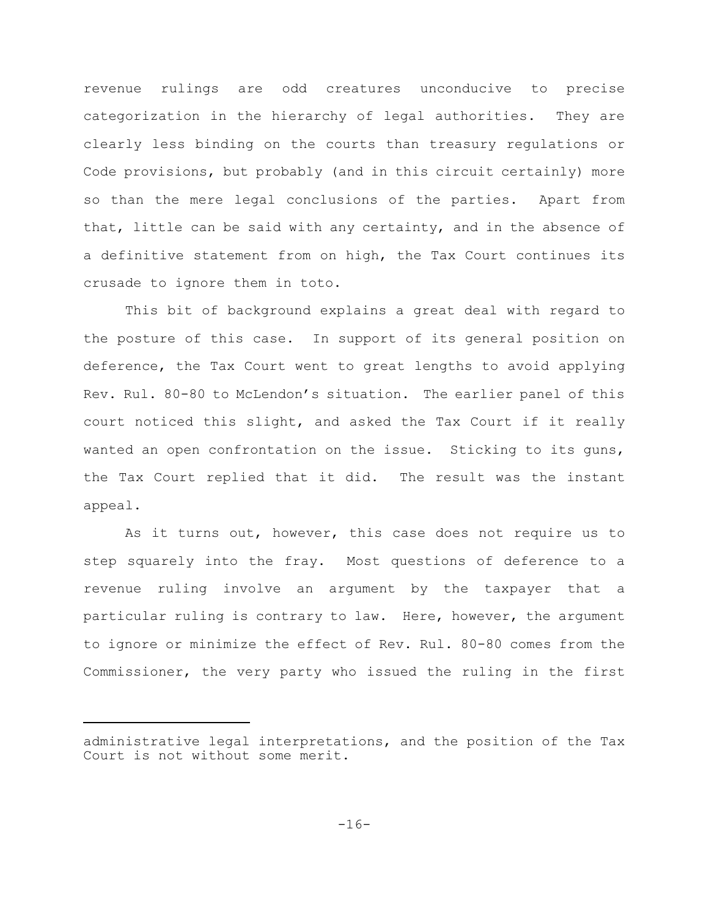revenue rulings are odd creatures unconducive to precise categorization in the hierarchy of legal authorities. They are clearly less binding on the courts than treasury regulations or Code provisions, but probably (and in this circuit certainly) more so than the mere legal conclusions of the parties. Apart from that, little can be said with any certainty, and in the absence of a definitive statement from on high, the Tax Court continues its crusade to ignore them in toto.

This bit of background explains a great deal with regard to the posture of this case. In support of its general position on deference, the Tax Court went to great lengths to avoid applying Rev. Rul. 80-80 to McLendon's situation. The earlier panel of this court noticed this slight, and asked the Tax Court if it really wanted an open confrontation on the issue. Sticking to its guns, the Tax Court replied that it did. The result was the instant appeal.

As it turns out, however, this case does not require us to step squarely into the fray. Most questions of deference to a revenue ruling involve an argument by the taxpayer that a particular ruling is contrary to law. Here, however, the argument to ignore or minimize the effect of Rev. Rul. 80-80 comes from the Commissioner, the very party who issued the ruling in the first

administrative legal interpretations, and the position of the Tax Court is not without some merit.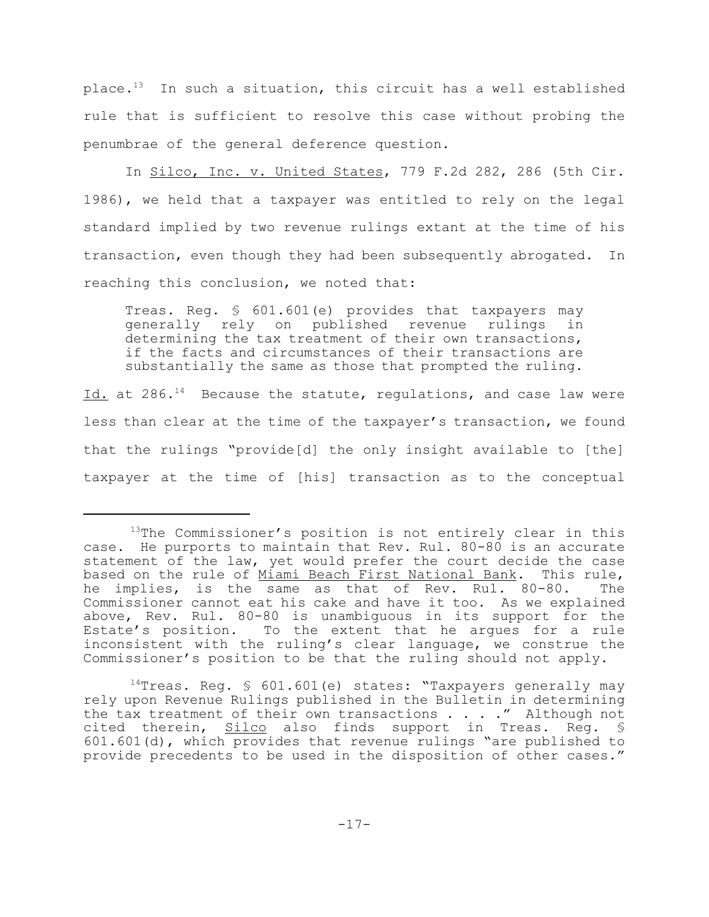place. $13$  In such a situation, this circuit has a well established rule that is sufficient to resolve this case without probing the penumbrae of the general deference question.

In Silco, Inc. v. United States, 779 F.2d 282, 286 (5th Cir. 1986), we held that a taxpayer was entitled to rely on the legal standard implied by two revenue rulings extant at the time of his transaction, even though they had been subsequently abrogated. In reaching this conclusion, we noted that:

Treas. Reg. § 601.601(e) provides that taxpayers may generally rely on published revenue rulings in determining the tax treatment of their own transactions, if the facts and circumstances of their transactions are substantially the same as those that prompted the ruling.

Id. at 286.<sup>14</sup> Because the statute, regulations, and case law were less than clear at the time of the taxpayer's transaction, we found that the rulings "provide[d] the only insight available to [the] taxpayer at the time of [his] transaction as to the conceptual

<sup>&</sup>lt;sup>13</sup>The Commissioner's position is not entirely clear in this case. He purports to maintain that Rev. Rul. 80-80 is an accurate statement of the law, yet would prefer the court decide the case based on the rule of Miami Beach First National Bank*.* This rule, he implies, is the same as that of Rev. Rul. 80-80. The Commissioner cannot eat his cake and have it too. As we explained above, Rev. Rul. 80-80 is unambiguous in its support for the Estate's position. To the extent that he argues for a rule inconsistent with the ruling's clear language, we construe the Commissioner's position to be that the ruling should not apply.

 $14$ Treas. Reg. § 601.601(e) states: "Taxpayers generally may rely upon Revenue Rulings published in the Bulletin in determining the tax treatment of their own transactions . . . ." Although not cited therein, Silco also finds support in Treas. Reg. § 601.601(d), which provides that revenue rulings "are published to provide precedents to be used in the disposition of other cases."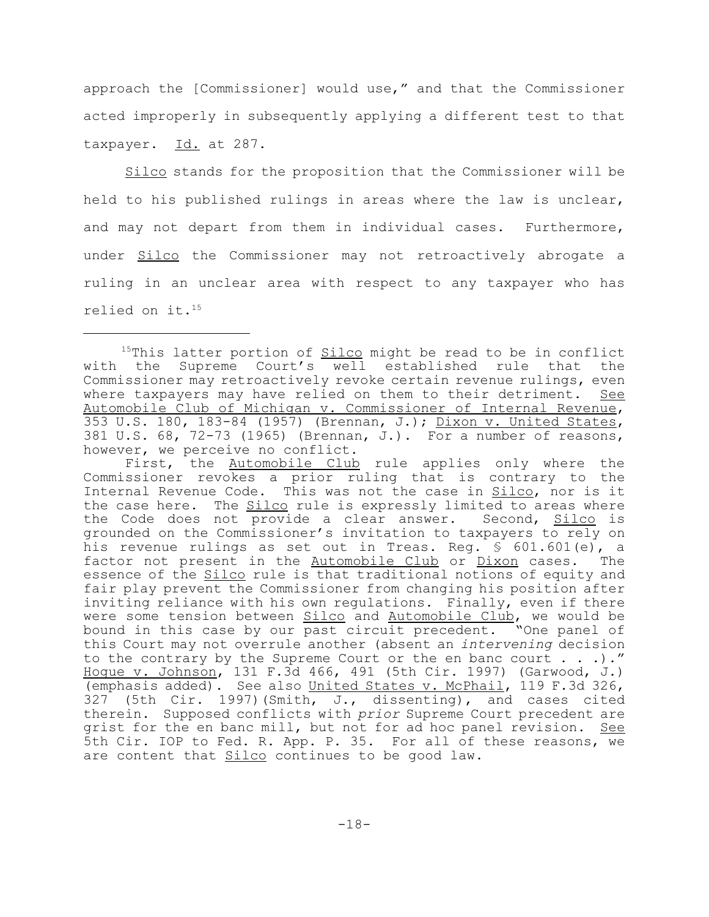approach the [Commissioner] would use," and that the Commissioner acted improperly in subsequently applying a different test to that taxpayer. Id. at 287.

Silco stands for the proposition that the Commissioner will be held to his published rulings in areas where the law is unclear, and may not depart from them in individual cases. Furthermore, under Silco the Commissioner may not retroactively abrogate a ruling in an unclear area with respect to any taxpayer who has relied on it.15

First, the Automobile Club rule applies only where the Commissioner revokes a prior ruling that is contrary to the Internal Revenue Code. This was not the case in Silco, nor is it the case here. The Silco rule is expressly limited to areas where the Code does not provide a clear answer. Second, Silco is grounded on the Commissioner's invitation to taxpayers to rely on his revenue rulings as set out in Treas. Reg. § 601.601(e), a factor not present in the Automobile Club or Dixon cases. The essence of the *Silco* rule is that traditional notions of equity and fair play prevent the Commissioner from changing his position after inviting reliance with his own regulations. Finally, even if there were some tension between Silco and Automobile Club, we would be bound in this case by our past circuit precedent. "One panel of this Court may not overrule another (absent an *intervening* decision to the contrary by the Supreme Court or the en banc court  $\ldots$ ." Hogue v. Johnson, 131 F.3d 466, 491 (5th Cir. 1997) (Garwood, J.) (emphasis added). See also United States v. McPhail, 119 F.3d 326, 327 (5th Cir. 1997)(Smith, J., dissenting), and cases cited therein. Supposed conflicts with *prior* Supreme Court precedent are grist for the en banc mill, but not for ad hoc panel revision. See 5th Cir. IOP to Fed. R. App. P. 35. For all of these reasons, we are content that **Silco** continues to be good law.

<sup>&</sup>lt;sup>15</sup>This latter portion of <u>Silco</u> might be read to be in conflict with the Supreme Court's well established rule that the Commissioner may retroactively revoke certain revenue rulings, even where taxpayers may have relied on them to their detriment. See Automobile Club of Michigan  $v$ . Commissioner of Internal Revenue, Automobile Club of Michigan v. Commissioner O.S. 180, 183-84 (1957) (Brennan, J.); Dixon v. United States, 381 U.S. 68, 72-73 (1965) (Brennan, J.). For a number of reasons, however, we perceive no conflict.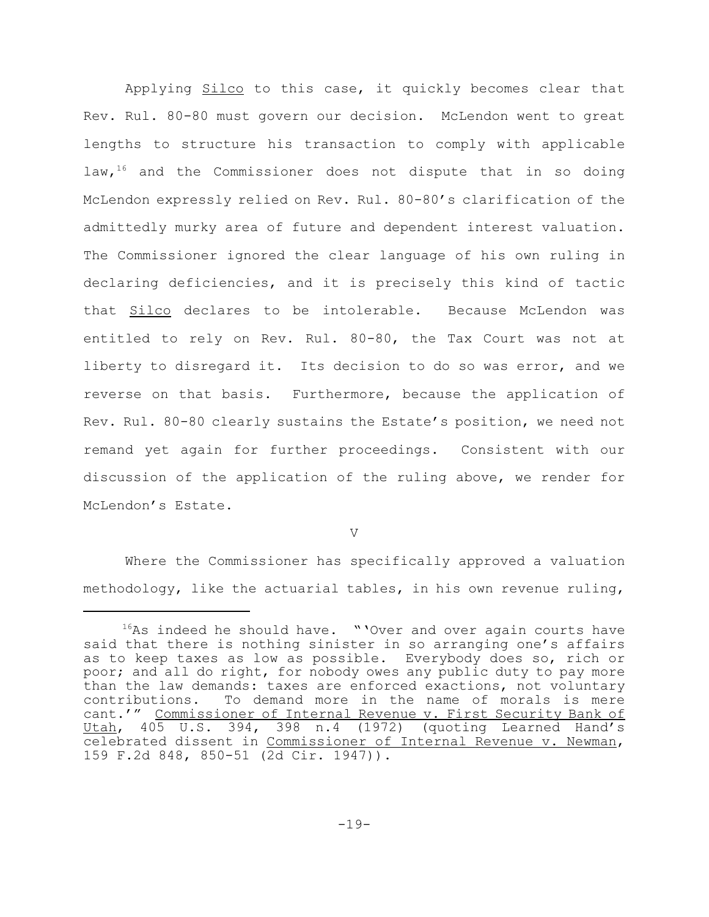Applying Silco to this case, it quickly becomes clear that Rev. Rul. 80-80 must govern our decision. McLendon went to great lengths to structure his transaction to comply with applicable  $law, <sup>16</sup>$  and the Commissioner does not dispute that in so doing McLendon expressly relied on Rev. Rul. 80-80's clarification of the admittedly murky area of future and dependent interest valuation. The Commissioner ignored the clear language of his own ruling in declaring deficiencies, and it is precisely this kind of tactic that Silco declares to be intolerable. Because McLendon was entitled to rely on Rev. Rul. 80-80, the Tax Court was not at liberty to disregard it. Its decision to do so was error, and we reverse on that basis. Furthermore, because the application of Rev. Rul. 80-80 clearly sustains the Estate's position, we need not remand yet again for further proceedings. Consistent with our discussion of the application of the ruling above, we render for McLendon's Estate.

V

Where the Commissioner has specifically approved a valuation methodology, like the actuarial tables, in his own revenue ruling,

 $16$ As indeed he should have. "'Over and over again courts have said that there is nothing sinister in so arranging one's affairs as to keep taxes as low as possible. Everybody does so, rich or poor; and all do right, for nobody owes any public duty to pay more than the law demands: taxes are enforced exactions, not voluntary contributions. To demand more in the name of morals is mere cant.'" Commissioner of Internal Revenue v. First Security Bank of Utah, 405 U.S. 394, 398 n.4 (1972) (quoting Learned Hand's celebrated dissent in Commissioner of Internal Revenue v. Newman, 159 F.2d 848, 850-51 (2d Cir. 1947)).